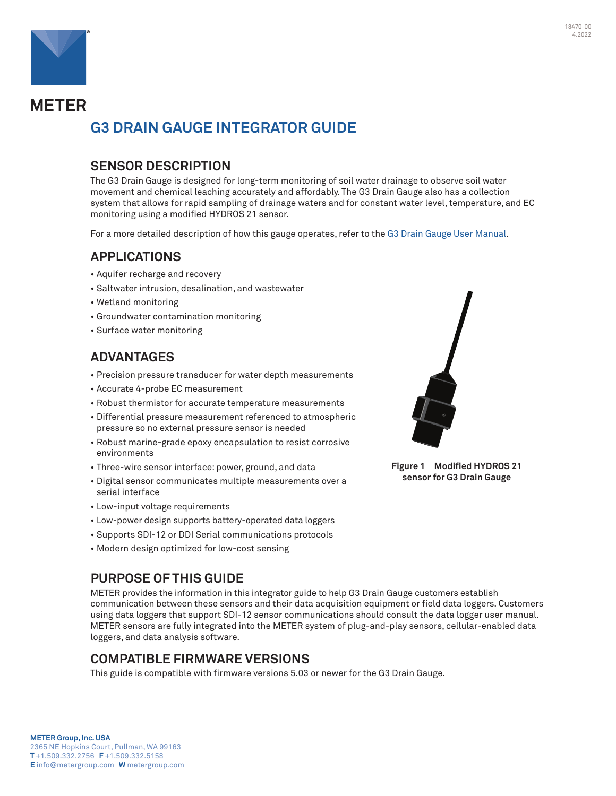

**METER** 

# **G3 DRAIN GAUGE INTEGRATOR GUIDE**

### **SENSOR DESCRIPTION**

The G3 Drain Gauge is designed for long-term monitoring of soil water drainage to observe soil water movement and chemical leaching accurately and affordably. The G3 Drain Gauge also has a collection system that allows for rapid sampling of drainage waters and for constant water level, temperature, and EC monitoring using a modified HYDROS 21 sensor.

For a more detailed description of how this gauge operates, refer to the [G3 Drain Gauge User Manual.](https://www.metergroup.com/g3-support)

### **APPLICATIONS**

- Aquifer recharge and recovery
- Saltwater intrusion, desalination, and wastewater
- Wetland monitoring
- Groundwater contamination monitoring
- Surface water monitoring

### **ADVANTAGES**

- Precision pressure transducer for water depth measurements
- Accurate 4-probe EC measurement
- Robust thermistor for accurate temperature measurements
- Differential pressure measurement referenced to atmospheric pressure so no external pressure sensor is needed
- Robust marine-grade epoxy encapsulation to resist corrosive environments
- Three-wire sensor interface: power, ground, and data
- Digital sensor communicates multiple measurements over a serial interface
- Low-input voltage requirements
- Low-power design supports battery-operated data loggers
- Supports SDI-12 or DDI Serial communications protocols
- Modern design optimized for low-cost sensing

### **PURPOSE OF THIS GUIDE**

METER provides the information in this integrator guide to help G3 Drain Gauge customers establish communication between these sensors and their data acquisition equipment or field data loggers. Customers using data loggers that support SDI-12 sensor communications should consult the data logger user manual. METER sensors are fully integrated into the METER system of plug-and-play sensors, cellular-enabled data loggers, and data analysis software.

### **COMPATIBLE FIRMWARE VERSIONS**

This guide is compatible with firmware versions 5.03 or newer for the G3 Drain Gauge.



**Figure 1 Modified HYDROS 21 sensor for G3 Drain Gauge**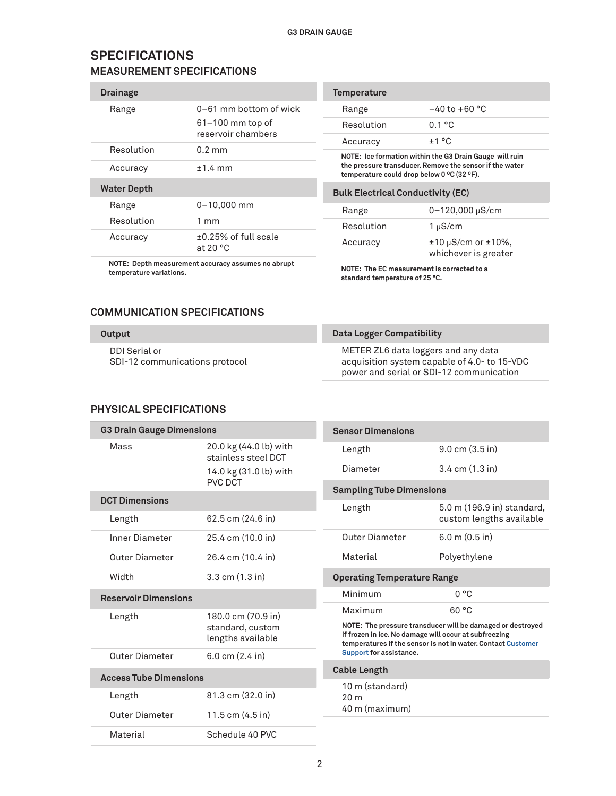### **SPECIFICATIONS MEASUREMENT SPECIFICATIONS**

| <b>Drainage</b>    |                                                 | <b>Temperature</b>                         |                                                         |
|--------------------|-------------------------------------------------|--------------------------------------------|---------------------------------------------------------|
| Range              | $0-61$ mm bottom of wick                        | Range                                      | $-40$ to $+60$ °C                                       |
|                    | $61-100$ mm top of<br>reservoir chambers        | Resolution                                 | 0.1 °C                                                  |
|                    |                                                 | Accuracy                                   | ±1 °C                                                   |
| Resolution         | $0.2 \text{ mm}$                                |                                            | NOTE: Ice formation within the G3 Drain Gauge will ruin |
| Accuracy           | $+1.4$ mm                                       | temperature could drop below 0 °C (32 °F). | the pressure transducer. Remove the sensor if the water |
| <b>Water Depth</b> |                                                 | <b>Bulk Electrical Conductivity (EC)</b>   |                                                         |
| Range              | $0 - 10,000$ mm                                 | Range                                      | 0-120,000 µS/cm                                         |
| Resolution         | $1 \text{ mm}$                                  | Resolution                                 | $1 \mu S/cm$                                            |
| Accuracy           | $\pm 0.25\%$ of full scale<br>at 20 $\degree$ C | Accuracy                                   | $\pm 10 \mu$ S/cm or $\pm 10\%$ ,                       |
|                    |                                                 |                                            | whichever is greater                                    |

#### **COMMUNICATION SPECIFICATIONS**

#### **Output**

DDI Serial or SDI-12 communications protocol

#### **Data Logger Compatibility**

METER ZL6 data loggers and any data acquisition system capable of 4.0- to 15-VDC power and serial or SDI-12 communication

#### **PHYSICAL SPECIFICATIONS**

| <b>G3 Drain Gauge Dimensions</b>      |                                               | <b>Sensor Dimensions</b>                                                                                                                                                            |                                    |
|---------------------------------------|-----------------------------------------------|-------------------------------------------------------------------------------------------------------------------------------------------------------------------------------------|------------------------------------|
| Mass                                  | 20.0 kg (44.0 lb) with<br>stainless steel DCT | Length                                                                                                                                                                              | $9.0 \text{ cm } (3.5 \text{ in})$ |
|                                       | 14.0 kg (31.0 lb) with                        | Diameter                                                                                                                                                                            | $3.4 \text{ cm } (1.3 \text{ in})$ |
|                                       | PVC DCT                                       | <b>Sampling Tube Dimensions</b>                                                                                                                                                     |                                    |
| <b>DCT Dimensions</b>                 |                                               | Length                                                                                                                                                                              | 5.0 m (196.9 in) standard,         |
| Length                                | 62.5 cm (24.6 in)                             |                                                                                                                                                                                     | custom lengths available           |
| <b>Inner Diameter</b>                 | 25.4 cm (10.0 in)                             | <b>Outer Diameter</b>                                                                                                                                                               | $6.0$ m $(0.5$ in)                 |
| Outer Diameter                        | 26.4 cm (10.4 in)                             | Material                                                                                                                                                                            | Polyethylene                       |
| Width                                 | 3.3 cm (1.3 in)                               | <b>Operating Temperature Range</b>                                                                                                                                                  |                                    |
| <b>Reservoir Dimensions</b>           |                                               | Minimum                                                                                                                                                                             | 0 °C                               |
| Length                                | 180.0 cm (70.9 in)                            | Maximum                                                                                                                                                                             | 60 °C                              |
| standard, custom<br>lengths available |                                               | NOTE: The pressure transducer will be damaged or destroyed<br>if frozen in ice. No damage will occur at subfreezing<br>temperatures if the sensor is not in water. Contact Customer |                                    |
| <b>Outer Diameter</b>                 | $6.0 \text{ cm}$ (2.4 in)                     | Support for assistance.                                                                                                                                                             |                                    |
| <b>Access Tube Dimensions</b>         |                                               | <b>Cable Length</b>                                                                                                                                                                 |                                    |
|                                       |                                               | 10 m (standard)                                                                                                                                                                     |                                    |
| Length                                | 81.3 cm (32.0 in)                             | 20 <sub>m</sub><br>40 m (maximum)                                                                                                                                                   |                                    |
| <b>Outer Diameter</b>                 | 11.5 cm (4.5 in)                              |                                                                                                                                                                                     |                                    |
| Material                              | Schedule 40 PVC                               |                                                                                                                                                                                     |                                    |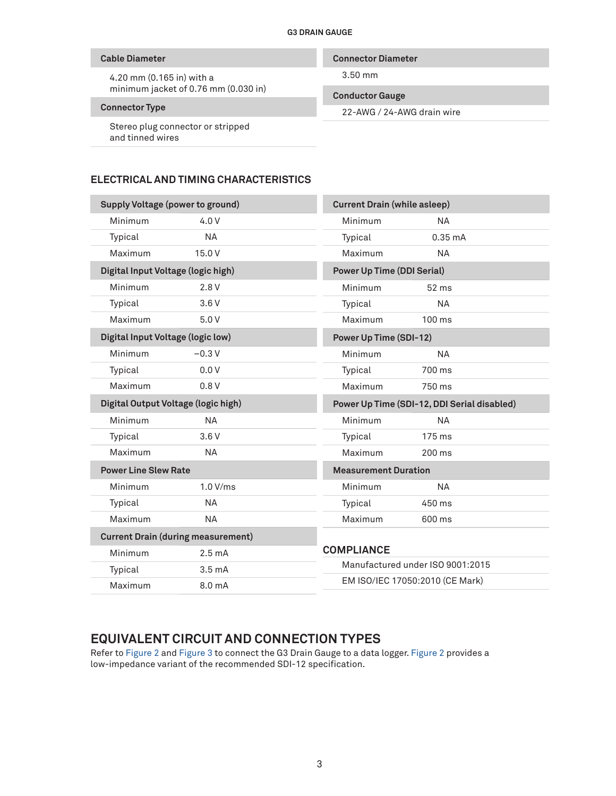#### **Cable Diameter**

4.20 mm (0.165 in) with a minimum jacket of 0.76 mm (0.030 in)

#### **Connector Type**

Stereo plug connector or stripped and tinned wires

#### **Connector Diameter**

3.50 mm

#### **Conductor Gauge**

22-AWG / 24-AWG drain wire

#### **ELECTRICAL AND TIMING CHARACTERISTICS**

| <b>Supply Voltage (power to ground)</b> |                                           |                                   | <b>Current Drain (while asleep)</b>         |  |
|-----------------------------------------|-------------------------------------------|-----------------------------------|---------------------------------------------|--|
| Minimum                                 | 4.0V                                      | Minimum                           | <b>NA</b>                                   |  |
| Typical                                 | <b>NA</b>                                 | Typical                           | $0.35 \text{ mA}$                           |  |
| Maximum                                 | 15.0 V                                    | Maximum                           | <b>NA</b>                                   |  |
| Digital Input Voltage (logic high)      |                                           | <b>Power Up Time (DDI Serial)</b> |                                             |  |
| Minimum                                 | 2.8V                                      | Minimum                           | 52 ms                                       |  |
| Typical                                 | 3.6V                                      | Typical                           | <b>NA</b>                                   |  |
| Maximum                                 | 5.0V                                      | Maximum                           | $100 \text{ ms}$                            |  |
| Digital Input Voltage (logic low)       |                                           | Power Up Time (SDI-12)            |                                             |  |
| Minimum                                 | $-0.3V$                                   | Minimum                           | <b>NA</b>                                   |  |
| Typical                                 | 0.0V                                      | Typical                           | 700 ms                                      |  |
| Maximum                                 | 0.8V                                      | Maximum                           | 750 ms                                      |  |
| Digital Output Voltage (logic high)     |                                           |                                   |                                             |  |
|                                         |                                           |                                   | Power Up Time (SDI-12, DDI Serial disabled) |  |
| Minimum                                 | <b>NA</b>                                 | Minimum                           | <b>NA</b>                                   |  |
| Typical                                 | 3.6V                                      | Typical                           | $175$ ms                                    |  |
| Maximum                                 | <b>NA</b>                                 | Maximum                           | 200 ms                                      |  |
| <b>Power Line Slew Rate</b>             |                                           | <b>Measurement Duration</b>       |                                             |  |
| Minimum                                 | 1.0 V/ms                                  | Minimum                           | <b>NA</b>                                   |  |
| Typical                                 | <b>NA</b>                                 | Typical                           | 450 ms                                      |  |
| Maximum                                 | <b>NA</b>                                 | Maximum                           | 600 ms                                      |  |
|                                         | <b>Current Drain (during measurement)</b> |                                   |                                             |  |
| Minimum                                 | $2.5 \text{ mA}$                          | <b>COMPLIANCE</b>                 |                                             |  |
| Typical                                 | 3.5 <sub>mA</sub>                         |                                   | Manufactured under ISO 9001:2015            |  |
| Maximum                                 | 8.0 mA                                    |                                   | EM ISO/IEC 17050:2010 (CE Mark)             |  |

### **EQUIVALENT CIRCUIT AND CONNECTION TYPES**

Refer to [Figure 2](#page-3-0) and [Figure 3](#page-3-1) to connect the G3 Drain Gauge to a data logger. [Figure 2](#page-3-0) provides a low-impedance variant of the recommended SDI-12 specification.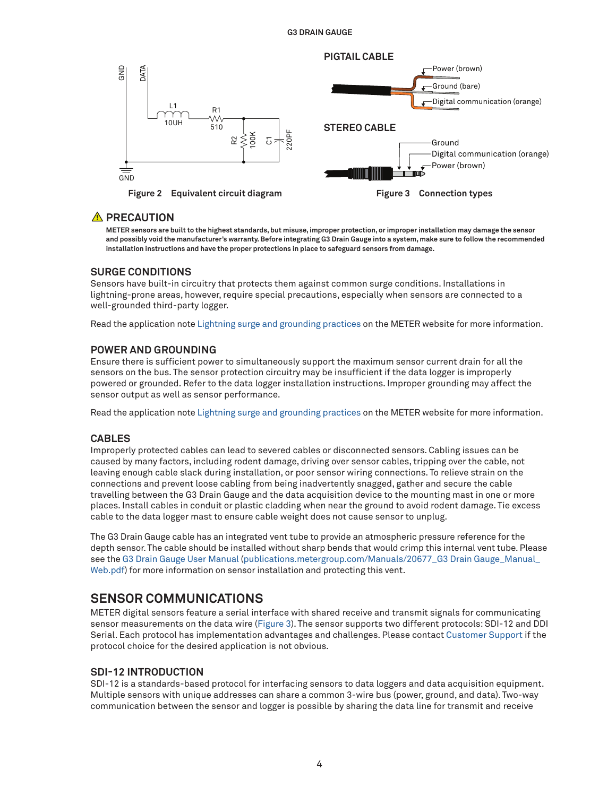

### **A** PRECAUTION

<span id="page-3-1"></span><span id="page-3-0"></span>**METER sensors are built to the highest standards, but misuse, improper protection, or improper installation may damage the sensor and possibly void the manufacturer's warranty. Before integrating G3 Drain Gauge into a system, make sure to follow the recommended installation instructions and have the proper protections in place to safeguard sensors from damage.**

#### **SURGE CONDITIONS**

Sensors have built-in circuitry that protects them against common surge conditions. Installations in lightning-prone areas, however, require special precautions, especially when sensors are connected to a well-grounded third-party logger.

Read the application note [Lightning surge and grounding practices](https://www.metergroup.com/environment/articles/lightning-surge-grounding-practices/) on the METER website for more information.

#### **POWER AND GROUNDING**

Ensure there is sufficient power to simultaneously support the maximum sensor current drain for all the sensors on the bus. The sensor protection circuitry may be insufficient if the data logger is improperly powered or grounded. Refer to the data logger installation instructions. Improper grounding may affect the sensor output as well as sensor performance.

Read the application note [Lightning surge and grounding practices](https://www.metergroup.com/environment/articles/lightning-surge-grounding-practices/) on the METER website for more information.

#### **CABLES**

Improperly protected cables can lead to severed cables or disconnected sensors. Cabling issues can be caused by many factors, including rodent damage, driving over sensor cables, tripping over the cable, not leaving enough cable slack during installation, or poor sensor wiring connections. To relieve strain on the connections and prevent loose cabling from being inadvertently snagged, gather and secure the cable travelling between the G3 Drain Gauge and the data acquisition device to the mounting mast in one or more places. Install cables in conduit or plastic cladding when near the ground to avoid rodent damage. Tie excess cable to the data logger mast to ensure cable weight does not cause sensor to unplug.

The G3 Drain Gauge cable has an integrated vent tube to provide an atmospheric pressure reference for the depth sensor. The cable should be installed without sharp bends that would crimp this internal vent tube. Please see the [G3 Drain Gauge User Manual \(publications.metergroup.com/Manuals/20677\\_G3 Drain Gauge\\_Manual\\_](https://publications.metergroup.com/Manuals/20677_G3 Drain Gauge_Manual_Web.pdf) [Web.pdf\)](https://publications.metergroup.com/Manuals/20677_G3 Drain Gauge_Manual_Web.pdf) for more information on sensor installation and protecting this vent.

### **SENSOR COMMUNICATIONS**

METER digital sensors feature a serial interface with shared receive and transmit signals for communicating sensor measurements on the data wire [\(Figure 3](#page-3-1)). The sensor supports two different protocols: SDI-12 and DDI Serial. Each protocol has implementation advantages and challenges. Please contact [Customer Support](#page-13-0) if the protocol choice for the desired application is not obvious.

#### **SDI-12 INTRODUCTION**

SDI-12 is a standards-based protocol for interfacing sensors to data loggers and data acquisition equipment. Multiple sensors with unique addresses can share a common 3-wire bus (power, ground, and data). Two-way communication between the sensor and logger is possible by sharing the data line for transmit and receive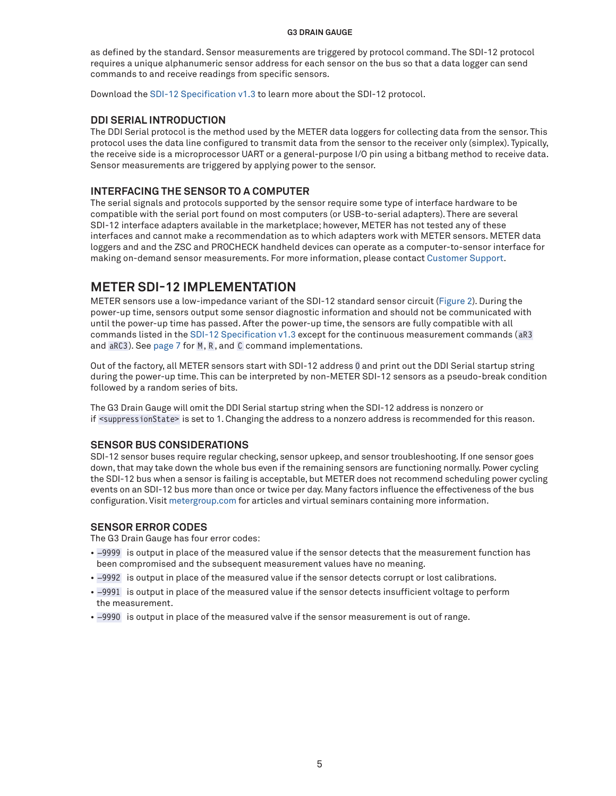as defined by the standard. Sensor measurements are triggered by protocol command. The SDI-12 protocol requires a unique alphanumeric sensor address for each sensor on the bus so that a data logger can send commands to and receive readings from specific sensors.

Download the [SDI-12 Specification v1.3](http://www.sdi-12.org/archives/SDI-12_version1_3%20January%2028,%202016.pdf) to learn more about the SDI-12 protocol.

#### **DDI SERIAL INTRODUCTION**

The DDI Serial protocol is the method used by the METER data loggers for collecting data from the sensor. This protocol uses the data line configured to transmit data from the sensor to the receiver only (simplex). Typically, the receive side is a microprocessor UART or a general-purpose I/O pin using a bitbang method to receive data. Sensor measurements are triggered by applying power to the sensor.

#### **INTERFACING THE SENSOR TO A COMPUTER**

The serial signals and protocols supported by the sensor require some type of interface hardware to be compatible with the serial port found on most computers (or USB-to-serial adapters). There are several SDI-12 interface adapters available in the marketplace; however, METER has not tested any of these interfaces and cannot make a recommendation as to which adapters work with METER sensors. METER data loggers and and the ZSC and PROCHECK handheld devices can operate as a computer-to-sensor interface for making on-demand sensor measurements. For more information, please contact [Customer Support.](#page-13-0)

### **METER SDI-12 IMPLEMENTATION**

METER sensors use a low-impedance variant of the SDI-12 standard sensor circuit [\(Figure 2\)](#page-3-0). During the power-up time, sensors output some sensor diagnostic information and should not be communicated with until the power-up time has passed. After the power-up time, the sensors are fully compatible with all commands listed in the [SDI-12 Specification v1.3](http://www.sdi-12.org/archives/SDI-12_version1_3%20January%2028,%202016.pdf) except for the continuous measurement commands (aR3 and aRC3 ). See page 7 for M, R, and C command implementations.

Out of the factory, all METER sensors start with SDI-12 address 0 and print out the DDI Serial startup string during the power-up time. This can be interpreted by non-METER SDI-12 sensors as a pseudo-break condition followed by a random series of bits.

The G3 Drain Gauge will omit the DDI Serial startup string when the SDI-12 address is nonzero or if <suppressionState> is set to 1. Changing the address to a nonzero address is recommended for this reason.

#### **SENSOR BUS CONSIDERATIONS**

SDI-12 sensor buses require regular checking, sensor upkeep, and sensor troubleshooting. If one sensor goes down, that may take down the whole bus even if the remaining sensors are functioning normally. Power cycling the SDI-12 bus when a sensor is failing is acceptable, but METER does not recommend scheduling power cycling events on an SDI-12 bus more than once or twice per day. Many factors influence the effectiveness of the bus configuration. Visit [metergroup.com](http://www.metergroup.com) for articles and virtual seminars containing more information.

#### **SENSOR ERROR CODES**

The G3 Drain Gauge has four error codes:

- –9999 is output in place of the measured value if the sensor detects that the measurement function has been compromised and the subsequent measurement values have no meaning.
- –9992 is output in place of the measured value if the sensor detects corrupt or lost calibrations.
- –9991 is output in place of the measured value if the sensor detects insufficient voltage to perform the measurement.
- –9990 is output in place of the measured valve if the sensor measurement is out of range.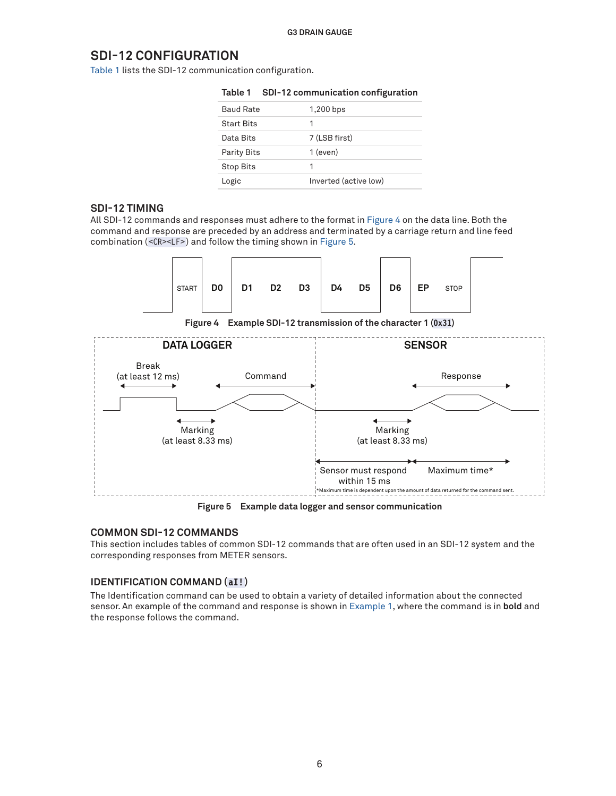### **SDI-12 CONFIGURATION**

[Table 1](#page-5-0) lists the SDI-12 communication configuration.

| .<br>--            |                       |
|--------------------|-----------------------|
| <b>Baud Rate</b>   | 1,200 bps             |
| <b>Start Bits</b>  | 1                     |
| Data Bits          | 7 (LSB first)         |
| <b>Parity Bits</b> | $1$ (even)            |
| <b>Stop Bits</b>   | 1                     |
| Logic              | Inverted (active low) |

### <span id="page-5-0"></span>**Table 1 SDI-12 communication configuration**

#### **SDI-12 TIMING**

All SDI-12 commands and responses must adhere to the format in [Figure 4](#page-5-1) on the data line. Both the command and response are preceded by an address and terminated by a carriage return and line feed combination (<CR><LF>) and follow the timing shown in [Figure 5](#page-5-2).



<span id="page-5-1"></span>**Figure 4 Example SDI-12 transmission of the character 1 (0x31)**



<span id="page-5-2"></span>**Figure 5 Example data logger and sensor communication**

#### **COMMON SDI-12 COMMANDS**

This section includes tables of common SDI-12 commands that are often used in an SDI-12 system and the corresponding responses from METER sensors.

#### **IDENTIFICATION COMMAND (aI!)**

The Identification command can be used to obtain a variety of detailed information about the connected sensor. An example of the command and response is shown in [Example 1](#page-6-0), where the command is in **bold** and the response follows the command.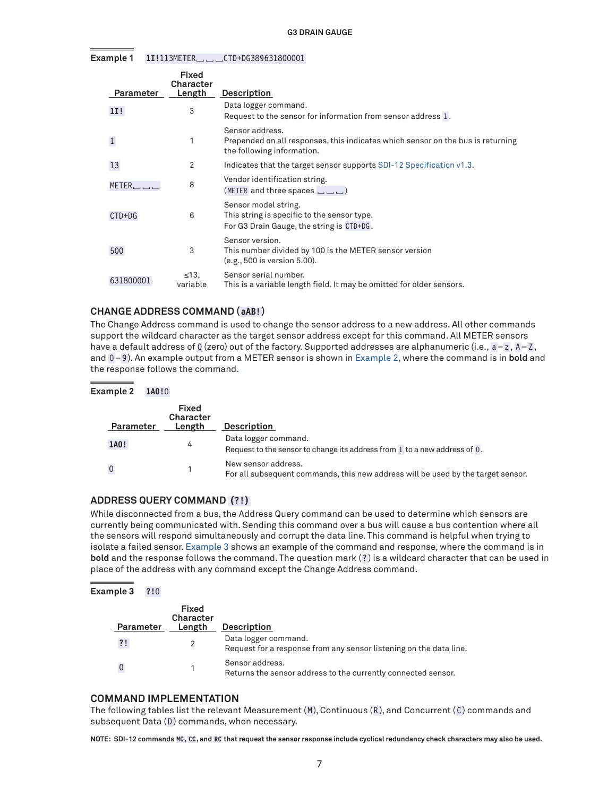**Example 1 1I!**113METER␣␣␣CTD+DG389631800001

<span id="page-6-0"></span>

| Parameter | <b>Fixed</b><br>Character<br>Length | <b>Description</b>                                                                                                               |
|-----------|-------------------------------------|----------------------------------------------------------------------------------------------------------------------------------|
| 11!       | 3                                   | Data logger command.<br>Request to the sensor for information from sensor address 1.                                             |
|           |                                     | Sensor address.<br>Prepended on all responses, this indicates which sensor on the bus is returning<br>the following information. |
| 13        | 2                                   | Indicates that the target sensor supports SDI-12 Specification v1.3.                                                             |
|           | 8                                   | Vendor identification string.<br>(METER and three spaces ل____)                                                                  |
| $CTD+DG$  | 6                                   | Sensor model string.<br>This string is specific to the sensor type.<br>For G3 Drain Gauge, the string is CTD+DG.                 |
| 500       | 3                                   | Sensor version.<br>This number divided by 100 is the METER sensor version<br>(e.g., 500 is version 5.00).                        |
| 631800001 | $\leq 13$ .<br>variable             | Sensor serial number.<br>This is a variable length field. It may be omitted for older sensors.                                   |

#### **CHANGE ADDRESS COMMAND (aAB!)**

The Change Address command is used to change the sensor address to a new address. All other commands support the wildcard character as the target sensor address except for this command. All METER sensors have a default address of 0 (zero) out of the factory. Supported addresses are alphanumeric (i.e.,  $a-z$ ,  $A-Z$ , and 0-9). An example output from a METER sensor is shown in [Example 2](#page-6-1), where the command is in **bold** and the response follows the command.

#### **Example 2 1A0!**0

<span id="page-6-1"></span>

| Parameter      | <b>Fixed</b><br>Character<br>Length | <b>Description</b>                                                                                      |
|----------------|-------------------------------------|---------------------------------------------------------------------------------------------------------|
| 1A0!           | 4                                   | Data logger command.<br>Request to the sensor to change its address from 1 to a new address of 0.       |
| $\overline{0}$ |                                     | New sensor address.<br>For all subsequent commands, this new address will be used by the target sensor. |

#### **ADDRESS QUERY COMMAND (?!)**

While disconnected from a bus, the Address Query command can be used to determine which sensors are currently being communicated with. Sending this command over a bus will cause a bus contention where all the sensors will respond simultaneously and corrupt the data line. This command is helpful when trying to isolate a failed sensor. [Example 3](#page-6-2) shows an example of the command and response, where the command is in **bold** and the response follows the command. The question mark (?) is a wildcard character that can be used in place of the address with any command except the Change Address command.

#### **Example 3 ?!**0

<span id="page-6-2"></span>

| Parameter | Fixed<br><b>Character</b><br>Length | <b>Description</b>                                                                         |
|-----------|-------------------------------------|--------------------------------------------------------------------------------------------|
| ?!        |                                     | Data logger command.<br>Request for a response from any sensor listening on the data line. |
|           |                                     | Sensor address.<br>Returns the sensor address to the currently connected sensor.           |

#### **COMMAND IMPLEMENTATION**

The following tables list the relevant Measurement  $(M)$ , Continuous  $(R)$ , and Concurrent  $(C)$  commands and subsequent Data (D) commands, when necessary.

**NOTE: SDI-12 commands MC, CC , and RC that request the sensor response include cyclical redundancy check characters may also be used.**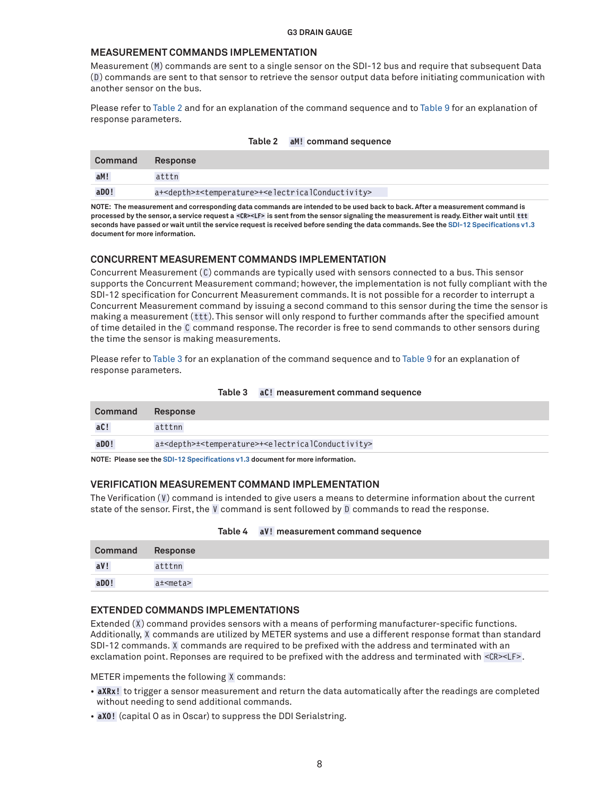#### **MEASUREMENT COMMANDS IMPLEMENTATION**

Measurement (M) commands are sent to a single sensor on the SDI-12 bus and require that subsequent Data ( D) commands are sent to that sensor to retrieve the sensor output data before initiating communication with another sensor on the bus.

Please refer to [Table 2](#page-7-0) and for an explanation of the command sequence and to [Table 9](#page-8-0) for an explanation of response parameters.

| Command | <b>Response</b>                                                                                  |
|---------|--------------------------------------------------------------------------------------------------|
| aM!     | atttn                                                                                            |
| aDO!    | a+ <depth>±<temperature>+<electricalconductivity></electricalconductivity></temperature></depth> |

#### <span id="page-7-0"></span>**Table 2 aM! command sequence**

**NOTE: The measurement and corresponding data commands are intended to be used back to back. After a measurement command is processed by the sensor, a service request a <CR><LF> is sent from the sensor signaling the measurement is ready. Either wait until ttt seconds have passed or wait until the service request is received before sending the data commands. See the [SDI-12 Specifications v1.3](http://www.sdi-12.org/archives/SDI-12_version1_3%20January%2028,%202016.pdf) document for more information.**

#### **CONCURRENT MEASUREMENT COMMANDS IMPLEMENTATION**

Concurrent Measurement (C) commands are typically used with sensors connected to a bus. This sensor supports the Concurrent Measurement command; however, the implementation is not fully compliant with the SDI-12 specification for Concurrent Measurement commands. It is not possible for a recorder to interrupt a Concurrent Measurement command by issuing a second command to this sensor during the time the sensor is making a measurement ( ttt ). This sensor will only respond to further commands after the specified amount of time detailed in the C command response. The recorder is free to send commands to other sensors during the time the sensor is making measurements.

Please refer to [Table 3](#page-7-1) for an explanation of the command sequence and to [Table 9](#page-8-0) for an explanation of response parameters.

| Command | Response                                                                                         |
|---------|--------------------------------------------------------------------------------------------------|
| aC!     | atttnn                                                                                           |
| $a$ DO! | a± <depth>±<temperature>+<electricalconductivity></electricalconductivity></temperature></depth> |

#### <span id="page-7-1"></span>**Table 3 aC! measurement command sequence**

**NOTE: Please see the [SDI-12 Specifications v1.3](http://www.sdi-12.org/archives/SDI-12_version1_3%20January%2028,%202016.pdf) document for more information.**

#### **VERIFICATION MEASUREMENT COMMAND IMPLEMENTATION**

The Verification (V) command is intended to give users a means to determine information about the current state of the sensor. First, the V command is sent followed by D commands to read the response.

| <b>Command</b> Response |                 |
|-------------------------|-----------------|
| aV!                     | atttnn          |
| $a$ DO!                 | $a \pm$ <meta/> |

#### **Table 4 aV! measurement command sequence**

#### **EXTENDED COMMANDS IMPLEMENTATIONS**

Extended (X) command provides sensors with a means of performing manufacturer-specific functions. Additionally, X commands are utilized by METER systems and use a different response format than standard SDI-12 commands. X commands are required to be prefixed with the address and terminated with an exclamation point. Reponses are required to be prefixed with the address and terminated with <CR><LF>.

METER impements the following X commands:

- **aXRx!** to trigger a sensor measurement and return the data automatically after the readings are completed without needing to send additional commands.
- **aXO!** (capital O as in Oscar) to suppress the DDI Serialstring.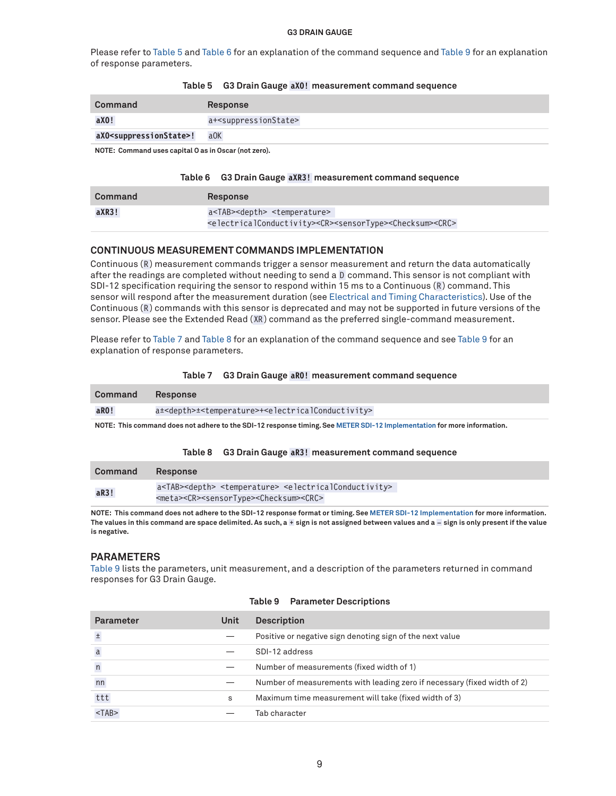Please refer to [Table 5](#page-8-1) and [Table 6](#page-8-2) for an explanation of the command sequence and [Table 9](#page-8-0) for an explanation of response parameters.

#### <span id="page-8-1"></span>**Table 5 G3 Drain Gauge aXO! measurement command sequence**

| Command                                    | Response                                 |
|--------------------------------------------|------------------------------------------|
| aX0!                                       | a+ <suppressionstate></suppressionstate> |
| aXO <suppressionstate>!</suppressionstate> | $a$ OK                                   |

**NOTE: Command uses capital O as in Oscar (not zero).**

#### <span id="page-8-2"></span>**Table 6 G3 Drain Gauge aXR3! measurement command sequence**

| Command | <b>Response</b>                                                                                                     |
|---------|---------------------------------------------------------------------------------------------------------------------|
| aXR3!   | a <tab><depth> <temperature></temperature></depth></tab>                                                            |
|         | <electricalconductivity><cr><sensortype><checksum><crc></crc></checksum></sensortype></cr></electricalconductivity> |

#### **CONTINUOUS MEASUREMENT COMMANDS IMPLEMENTATION**

Continuous (R) measurement commands trigger a sensor measurement and return the data automatically after the readings are completed without needing to send a D command. This sensor is not compliant with SDI-12 specification requiring the sensor to respond within 15 ms to a Continuous (R) command. This sensor will respond after the measurement duration (see Electrical and Timing Characteristics). Use of the Continuous (R) commands with this sensor is deprecated and may not be supported in future versions of the sensor. Please see the Extended Read (XR) command as the preferred single-command measurement.

Please refer to [Table 7](#page-8-3) and [Table 8](#page-8-4) for an explanation of the command sequence and see [Table 9](#page-8-0) for an explanation of response parameters.

#### <span id="page-8-3"></span>**Table 7 G3 Drain Gauge aR0! measurement command sequence**

| Command | Response                                                                                                              |
|---------|-----------------------------------------------------------------------------------------------------------------------|
| aRO!    | a± <depth>±<temperature>+<electricalconductivity></electricalconductivity></temperature></depth>                      |
|         | <b>NOTE: This common decoupted books de la ONL40</b> moneyed theirs One METER ONL40 hours and the form on information |

**NOTE: This command does not adhere to the SDI-12 response timing. See METER SDI-12 Implementation for more information.**

#### <span id="page-8-4"></span>**Table 8 G3 Drain Gauge aR3! measurement command sequence**

| Command | Response                                                                                                   |
|---------|------------------------------------------------------------------------------------------------------------|
| aR3!    | a <tab><depth> <temperature> <electricalconductivity></electricalconductivity></temperature></depth></tab> |
|         | <meta/> <cr><sensortype><checksum><crc></crc></checksum></sensortype></cr>                                 |

**NOTE: This command does not adhere to the SDI-12 response format or timing. See METER SDI-12 Implementation for more information. The values in this command are space delimited. As such, a + sign is not assigned between values and a – sign is only present if the value is negative.**

#### **PARAMETERS**

[Table 9](#page-8-0) lists the parameters, unit measurement, and a description of the parameters returned in command responses for G3 Drain Gauge.

| <b>Parameter</b> | Unit | <b>Description</b>                                                       |
|------------------|------|--------------------------------------------------------------------------|
| $\pm$            |      | Positive or negative sign denoting sign of the next value                |
| $\mathsf a$      |      | SDI-12 address                                                           |
| $\sf n$          |      | Number of measurements (fixed width of 1)                                |
| nn               |      | Number of measurements with leading zero if necessary (fixed width of 2) |
| ttt              | s    | Maximum time measurement will take (fixed width of 3)                    |
| $<$ TAB $>$      |      | Tab character                                                            |

#### <span id="page-8-0"></span>**Table 9 Parameter Descriptions**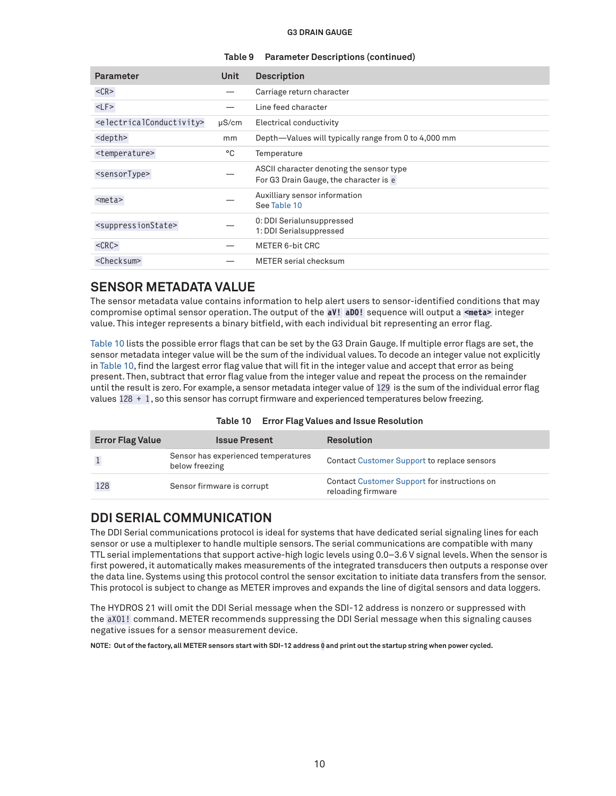#### **Table 9 Parameter Descriptions (continued)**

| <b>Parameter</b>                                  | <b>Unit</b> | <b>Description</b>                                                                 |
|---------------------------------------------------|-------------|------------------------------------------------------------------------------------|
| $<$ CR $>$                                        |             | Carriage return character                                                          |
| $<$ LF $>$                                        |             | Line feed character                                                                |
| <electricalconductivity></electricalconductivity> | $\mu$ S/cm  | Electrical conductivity                                                            |
| <depth></depth>                                   | mm          | Depth-Values will typically range from 0 to 4,000 mm                               |
| <temperature></temperature>                       | °C          | Temperature                                                                        |
| <sensortype></sensortype>                         |             | ASCII character denoting the sensor type<br>For G3 Drain Gauge, the character is e |
| $meta>$                                           |             | Auxilliary sensor information<br>See Table 10                                      |
| <suppressionstate></suppressionstate>             |             | 0: DDI Serialunsuppressed<br>1: DDI Serialsuppressed                               |
| $<$ CRC $>$                                       |             | METER 6-bit CRC                                                                    |
| <checksum></checksum>                             |             | <b>METER</b> serial checksum                                                       |

### **SENSOR METADATA VALUE**

The sensor metadata value contains information to help alert users to sensor-identified conditions that may compromise optimal sensor operation. The output of the **aV! aD0!** sequence will output a **<meta>** integer value. This integer represents a binary bitfield, with each individual bit representing an error flag.

[Table 10](#page-9-0) lists the possible error flags that can be set by the G3 Drain Gauge. If multiple error flags are set, the sensor metadata integer value will be the sum of the individual values. To decode an integer value not explicitly in [Table 10,](#page-9-0) find the largest error flag value that will fit in the integer value and accept that error as being present. Then, subtract that error flag value from the integer value and repeat the process on the remainder until the result is zero. For example, a sensor metadata integer value of 129 is the sum of the individual error flag values 128 + 1, so this sensor has corrupt firmware and experienced temperatures below freezing.

|                         | <b>TADIO TO ETTOI FIGS VAIDED AND IDONG INCODIBITION</b> |                   |
|-------------------------|----------------------------------------------------------|-------------------|
| <b>Error Flag Value</b> | <b>Issue Present</b>                                     | <b>Resolution</b> |
|                         | Concor has experienced temperatures                      |                   |

<span id="page-9-0"></span>

| Table 10 | <b>Error Flag Values and Issue Resolution</b> |  |  |  |
|----------|-----------------------------------------------|--|--|--|
|----------|-----------------------------------------------|--|--|--|

|     | Sensor has experienced temperatures<br>below freezing | Contact Customer Support to replace sensors                        |
|-----|-------------------------------------------------------|--------------------------------------------------------------------|
| 128 | Sensor firmware is corrupt                            | Contact Customer Support for instructions on<br>reloading firmware |

### **DDI SERIAL COMMUNICATION**

The DDI Serial communications protocol is ideal for systems that have dedicated serial signaling lines for each sensor or use a multiplexer to handle multiple sensors. The serial communications are compatible with many TTL serial implementations that support active-high logic levels using 0.0–3.6 V signal levels. When the sensor is first powered, it automatically makes measurements of the integrated transducers then outputs a response over the data line. Systems using this protocol control the sensor excitation to initiate data transfers from the sensor. This protocol is subject to change as METER improves and expands the line of digital sensors and data loggers.

The HYDROS 21 will omit the DDI Serial message when the SDI-12 address is nonzero or suppressed with the aXO1! command. METER recommends suppressing the DDI Serial message when this signaling causes negative issues for a sensor measurement device.

**NOTE: Out of the factory, all METER sensors start with SDI-12 address 0 and print out the startup string when power cycled.**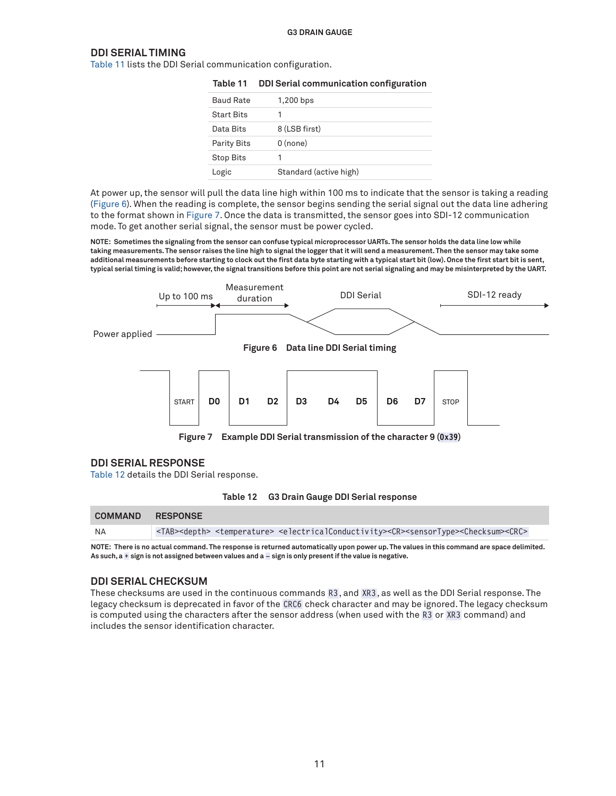#### **DDI SERIAL TIMING**

[Table 11](#page-10-0) lists the DDI Serial communication configuration.

<span id="page-10-0"></span>

| Table 11           | DDI Serial communication configuration |
|--------------------|----------------------------------------|
| <b>Baud Rate</b>   | 1,200 bps                              |
| <b>Start Bits</b>  |                                        |
| Data Bits          | 8 (LSB first)                          |
| <b>Parity Bits</b> | $0$ (none)                             |
| <b>Stop Bits</b>   |                                        |
| Logic              | Standard (active high)                 |

At power up, the sensor will pull the data line high within 100 ms to indicate that the sensor is taking a reading ([Figure 6\)](#page-10-1). When the reading is complete, the sensor begins sending the serial signal out the data line adhering to the format shown in [Figure 7.](#page-10-2) Once the data is transmitted, the sensor goes into SDI-12 communication mode. To get another serial signal, the sensor must be power cycled.

**NOTE: Sometimes the signaling from the sensor can confuse typical microprocessor UARTs. The sensor holds the data line low while taking measurements. The sensor raises the line high to signal the logger that it will send a measurement. Then the sensor may take some additional measurements before starting to clock out the first data byte starting with a typical start bit (low). Once the first start bit is sent, typical serial timing is valid; however, the signal transitions before this point are not serial signaling and may be misinterpreted by the UART.**



**DDI SERIAL RESPONSE**

[Table 12](#page-10-3) details the DDI Serial response.

<span id="page-10-3"></span><span id="page-10-2"></span><span id="page-10-1"></span>

| Table 12 |  | <b>G3 Drain Gauge DDI Serial response</b> |  |  |
|----------|--|-------------------------------------------|--|--|
|----------|--|-------------------------------------------|--|--|

| <b>COMMAND RESPONSE</b> |  |                                                                                                                                                                            |
|-------------------------|--|----------------------------------------------------------------------------------------------------------------------------------------------------------------------------|
| NA                      |  | <tab><depth> <temperature> <electricalconductivity><cr><sensortype><checksum><crc></crc></checksum></sensortype></cr></electricalconductivity></temperature></depth></tab> |

**NOTE: There is no actual command. The response is returned automatically upon power up. The values in this command are space delimited. As such, a + sign is not assigned between values and a – sign is only present if the value is negative.**

#### **DDI SERIAL CHECKSUM**

These checksums are used in the continuous commands R3, and XR3 , as well as the DDI Serial response. The legacy checksum is deprecated in favor of the CRC6 check character and may be ignored. The legacy checksum is computed using the characters after the sensor address (when used with the R3 or XR3 command) and includes the sensor identification character.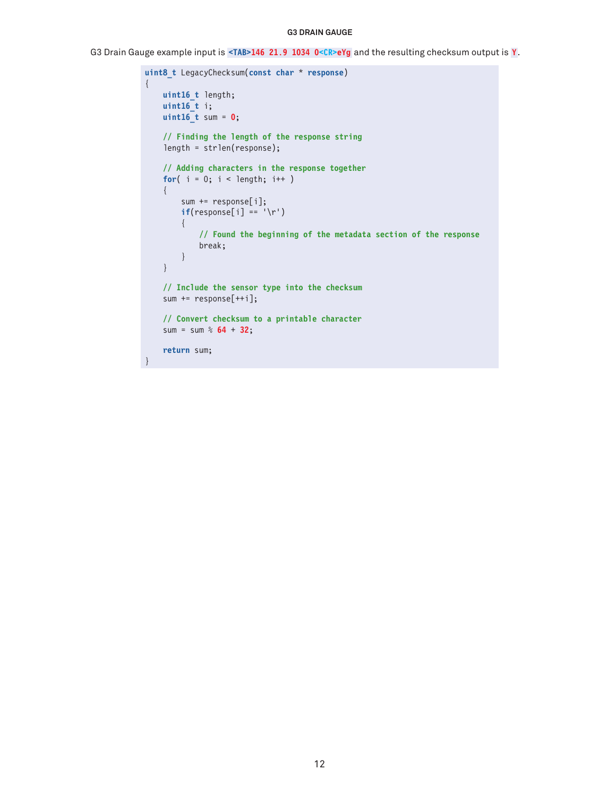G3 Drain Gauge example input is **<TAB>146 21.9 1034 0<CR>eYg** and the resulting checksum output is **Y**.

```
uint8_t LegacyChecksum(const char * response)
{ 
     uint16_t length;
     uint16_t i;
     uint16_t sum = 0;
     // Finding the length of the response string
     length = strlen(response);
     // Adding characters in the response together
    for( i = 0; i < length; i++ )
     {
         sum += response[i];
        if(response[i] == '\r') {
             // Found the beginning of the metadata section of the response
             break;
         }
     }
     // Include the sensor type into the checksum
     sum += response[++i];
     // Convert checksum to a printable character
     sum = sum % 64 + 32;
     return sum;
}
```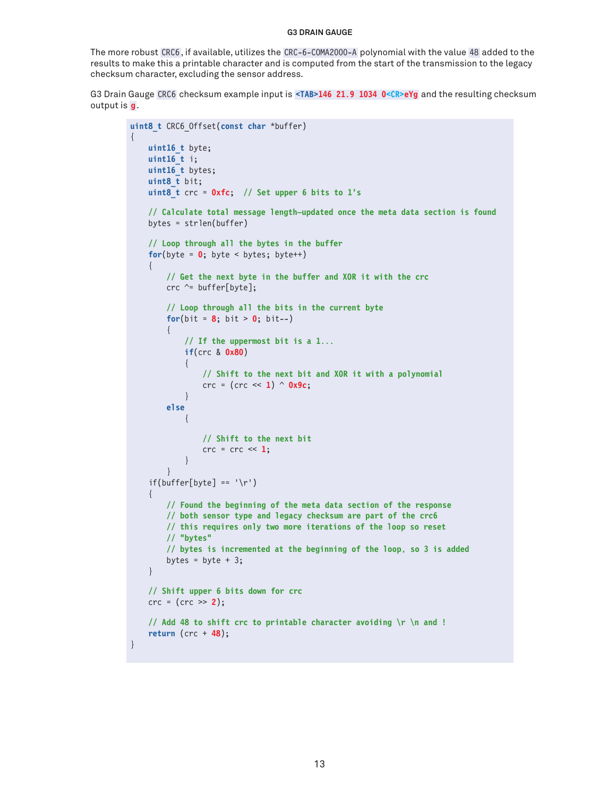The more robust CRC6, if available, utilizes the CRC-6-COMA2000-A polynomial with the value 48 added to the results to make this a printable character and is computed from the start of the transmission to the legacy checksum character, excluding the sensor address.

G3 Drain Gauge CRC6 checksum example input is **<TAB>146 21.9 1034 0<CR>eYg** and the resulting checksum output is **g**.

{

}

```
uint8_t CRC6_Offset(const char *buffer)
      uint16_t byte;
      uint16_t i;
      uint16_t bytes;
       uint8_t bit;
       uint8_t crc = 0xfc; // Set upper 6 bits to 1's
       // Calculate total message length—updated once the meta data section is found
      bytes = strlen(buffer)
       // Loop through all the bytes in the buffer
      for(b)yte = 0; byte < bytes; byte++)
       {
             // Get the next byte in the buffer and XOR it with the crc
             crc ^= buffer[byte];
             // Loop through all the bits in the current byte
            for(bit = 8; bit > 0; bit--)
\left\{ \begin{array}{c} \mathbf{1} & \mathbf{1} & \mathbf{1} & \mathbf{1} \\ \mathbf{1} & \mathbf{1} & \mathbf{1} & \mathbf{1} \\ \mathbf{1} & \mathbf{1} & \mathbf{1} & \mathbf{1} \\ \mathbf{1} & \mathbf{1} & \mathbf{1} & \mathbf{1} \\ \mathbf{1} & \mathbf{1} & \mathbf{1} & \mathbf{1} \\ \mathbf{1} & \mathbf{1} & \mathbf{1} & \mathbf{1} \\ \mathbf{1} & \mathbf{1} & \mathbf{1} & \mathbf{1} \\ \mathbf{1} & \mathbf{1} // If the uppermost bit is a 1...
                   if(crc & 0x80)
\{ // Shift to the next bit and XOR it with a polynomial
                         crc = (crc << 1) ^ 0x9c;
 }
             else
{ } } } } } } { } } } } { } } } } { } } } } { } } } } { } } } } { } } } } { } } } } { } } } } { } } } } { } } } } { } } } } { } } } } { } } } } { } } } } { } } } } { } } } } { } } } } { } } } } { } } } } { } } } } { } } } 
                         // Shift to the next bit
                        \text{crc} = \text{crc} \ll 1;
 }
             }
      if(buffer[byte] == ' \r') {
             // Found the beginning of the meta data section of the response
            // both sensor type and legacy checksum are part of the crc6
            // this requires only two more iterations of the loop so reset
             // "bytes"
             // bytes is incremented at the beginning of the loop, so 3 is added
            bytes = byte + 3;
       }
      // Shift upper 6 bits down for crc
      crc = (crc >> 2);
       // Add 48 to shift crc to printable character avoiding \r \n and !
       return (crc + 48);
```